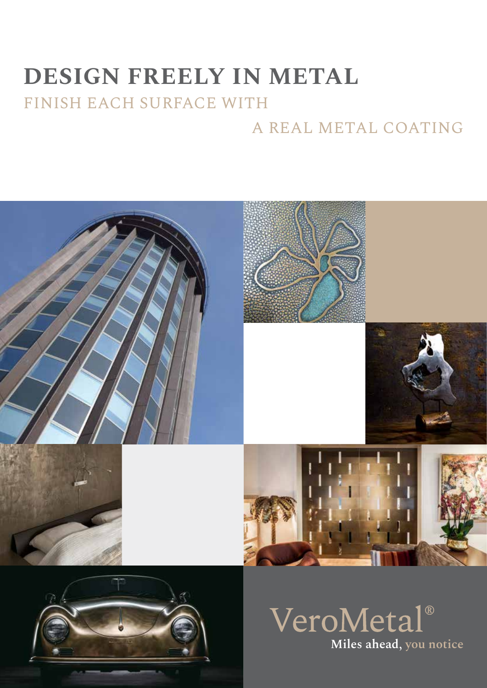# **DESIGN FREELY IN METAL** FINISH EACH SURFACE WITH

## A REAL METAL COATING





VeroMetal<sup>®</sup> **Miles ahead, you notice**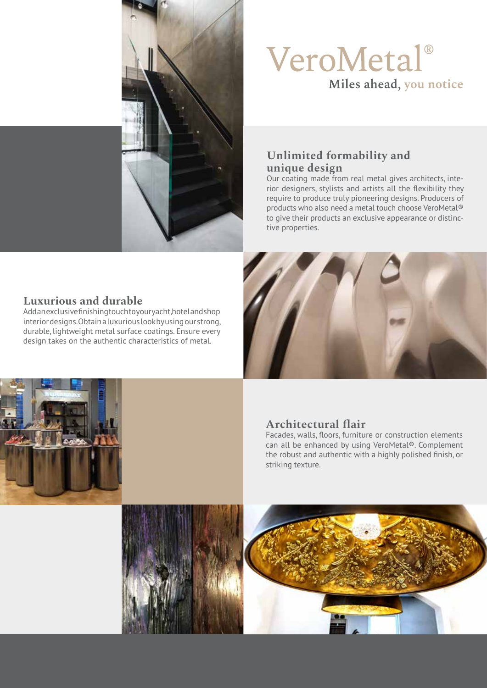

# VeroMetal® Miles ahead, you notice

### **Unlimited formability and unique design**

Our coating made from real metal gives architects, interior designers, stylists and artists all the flexibility they require to produce truly pioneering designs. Producers of products who also need a metal touch choose VeroMetal® to give their products an exclusive appearance or distinctive properties.

### **Luxurious and durable**

Add an exclusive finishing touch to your yacht, hotel and shop interior designs. Obtain a luxurious look by using our strong, durable, lightweight metal surface coatings. Ensure every design takes on the authentic characteristics of metal.





### **Architectural flair**

Facades, walls, floors, furniture or construction elements can all be enhanced by using VeroMetal®. Complement the robust and authentic with a highly polished finish, or striking texture.

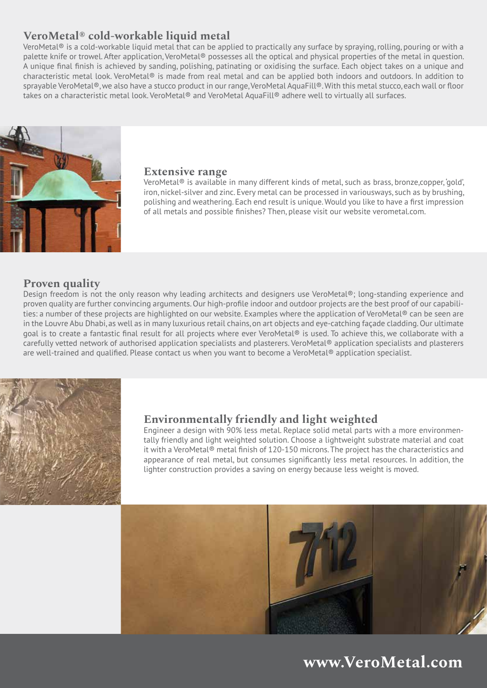## **VeroMetal® cold-workable liquid metal**

VeroMetal<sup>®</sup> is a cold-workable liquid metal that can be applied to practically any surface by spraying, rolling, pouring or with a palette knife or trowel. After application, VeroMetal® possesses all the optical and physical properties of the metal in question. A unique final finish is achieved by sanding, polishing, patinating or oxidising the surface. Each object takes on a unique and characteristic metal look. VeroMetal® is made from real metal and can be applied both indoors and outdoors. In addition to sprayable VeroMetal®, we also have a stucco product in our range, VeroMetal AquaFill®. With this metal stucco, each wall or floor takes on a characteristic metal look. VeroMetal® and VeroMetal AquaFill® adhere well to virtually all surfaces.



#### **Extensive range**

VeroMetal® is available in many different kinds of metal, such as brass, bronze,copper, 'gold', iron, nickel-silver and zinc. Every metal can be processed in variousways, such as by brushing, polishing and weathering. Each end result is unique. Would you like to have a first impression of all metals and possible finishes? Then, please visit our website verometal.com.

#### **Proven quality**

Design freedom is not the only reason why leading architects and designers use VeroMetal®; long-standing experience and proven quality are further convincing arguments. Our high-profile indoor and outdoor projects are the best proof of our capabilities: a number of these projects are highlighted on our website. Examples where the application of VeroMetal® can be seen are in the Louvre Abu Dhabi, as well as in many luxurious retail chains, on art objects and eye-catching façade cladding. Our ultimate goal is to create a fantastic final result for all projects where ever VeroMetal® is used. To achieve this, we collaborate with a carefully vetted network of authorised application specialists and plasterers. VeroMetal® application specialists and plasterers are well-trained and qualified. Please contact us when you want to become a VeroMetal® application specialist.



#### **Environmentally friendly and light weighted**

Engineer a design with 90% less metal. Replace solid metal parts with a more environmentally friendly and light weighted solution. Choose a lightweight substrate material and coat it with a VeroMetal® metal finish of 120-150 microns. The project has the characteristics and appearance of real metal, but consumes significantly less metal resources. In addition, the lighter construction provides a saving on energy because less weight is moved.



## **www.VeroMetal.com**